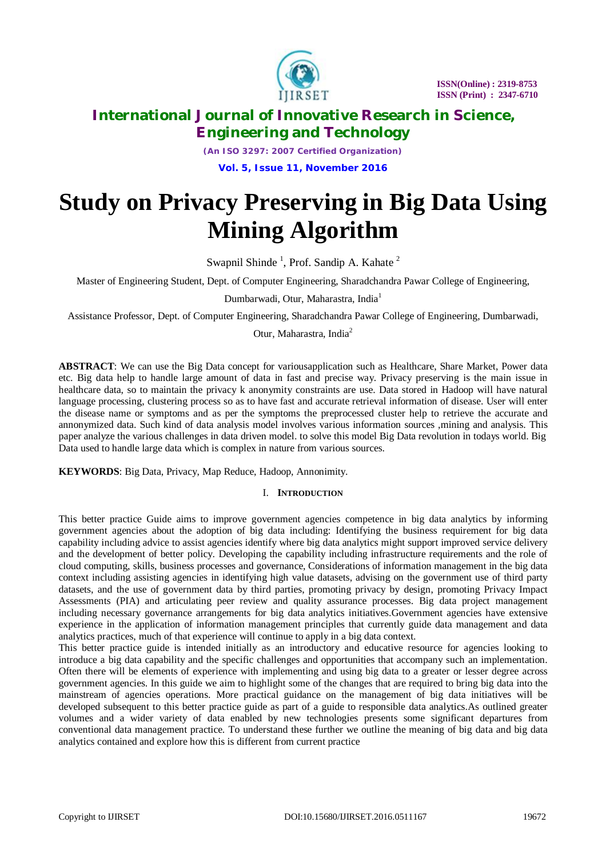

*(An ISO 3297: 2007 Certified Organization)* **Vol. 5, Issue 11, November 2016**

# **Study on Privacy Preserving in Big Data Using Mining Algorithm**

Swapnil Shinde<sup>1</sup>, Prof. Sandip A. Kahate<sup>2</sup>

Master of Engineering Student, Dept. of Computer Engineering, Sharadchandra Pawar College of Engineering,

Dumbarwadi, Otur, Maharastra, India<sup>1</sup>

Assistance Professor, Dept. of Computer Engineering, Sharadchandra Pawar College of Engineering, Dumbarwadi,

Otur, Maharastra, India<sup>2</sup>

**ABSTRACT**: We can use the Big Data concept for variousapplication such as Healthcare, Share Market, Power data etc. Big data help to handle large amount of data in fast and precise way. Privacy preserving is the main issue in healthcare data, so to maintain the privacy k anonymity constraints are use. Data stored in Hadoop will have natural language processing, clustering process so as to have fast and accurate retrieval information of disease. User will enter the disease name or symptoms and as per the symptoms the preprocessed cluster help to retrieve the accurate and annonymized data. Such kind of data analysis model involves various information sources ,mining and analysis. This paper analyze the various challenges in data driven model. to solve this model Big Data revolution in todays world. Big Data used to handle large data which is complex in nature from various sources.

**KEYWORDS**: Big Data, Privacy, Map Reduce, Hadoop, Annonimity.

## I. **INTRODUCTION**

This better practice Guide aims to improve government agencies competence in big data analytics by informing government agencies about the adoption of big data including: Identifying the business requirement for big data capability including advice to assist agencies identify where big data analytics might support improved service delivery and the development of better policy. Developing the capability including infrastructure requirements and the role of cloud computing, skills, business processes and governance, Considerations of information management in the big data context including assisting agencies in identifying high value datasets, advising on the government use of third party datasets, and the use of government data by third parties, promoting privacy by design, promoting Privacy Impact Assessments (PIA) and articulating peer review and quality assurance processes. Big data project management including necessary governance arrangements for big data analytics initiatives.Government agencies have extensive experience in the application of information management principles that currently guide data management and data analytics practices, much of that experience will continue to apply in a big data context.

This better practice guide is intended initially as an introductory and educative resource for agencies looking to introduce a big data capability and the specific challenges and opportunities that accompany such an implementation. Often there will be elements of experience with implementing and using big data to a greater or lesser degree across government agencies. In this guide we aim to highlight some of the changes that are required to bring big data into the mainstream of agencies operations. More practical guidance on the management of big data initiatives will be developed subsequent to this better practice guide as part of a guide to responsible data analytics.As outlined greater volumes and a wider variety of data enabled by new technologies presents some significant departures from conventional data management practice. To understand these further we outline the meaning of big data and big data analytics contained and explore how this is different from current practice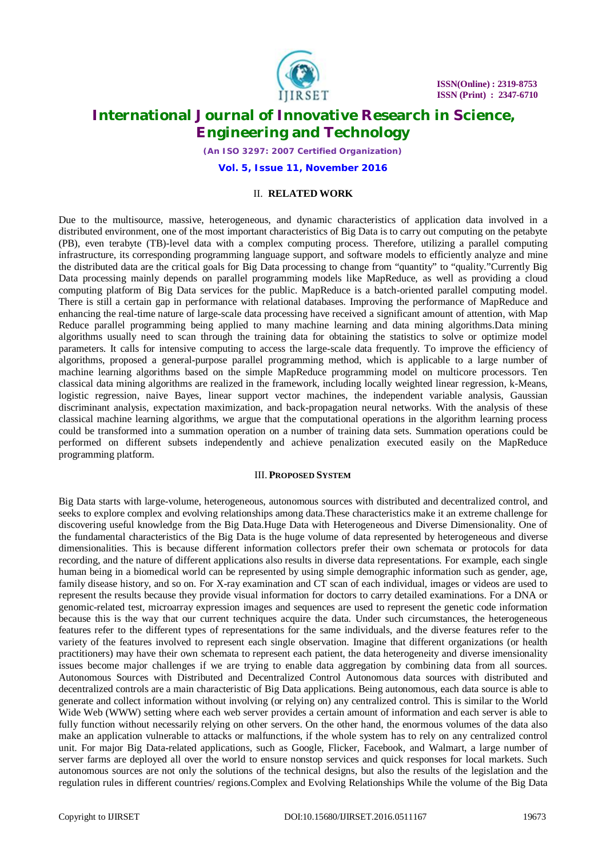

*(An ISO 3297: 2007 Certified Organization)*

**Vol. 5, Issue 11, November 2016**

## II. **RELATED WORK**

Due to the multisource, massive, heterogeneous, and dynamic characteristics of application data involved in a distributed environment, one of the most important characteristics of Big Data is to carry out computing on the petabyte (PB), even terabyte (TB)-level data with a complex computing process. Therefore, utilizing a parallel computing infrastructure, its corresponding programming language support, and software models to efficiently analyze and mine the distributed data are the critical goals for Big Data processing to change from "quantity" to "quality."Currently Big Data processing mainly depends on parallel programming models like MapReduce, as well as providing a cloud computing platform of Big Data services for the public. MapReduce is a batch-oriented parallel computing model. There is still a certain gap in performance with relational databases. Improving the performance of MapReduce and enhancing the real-time nature of large-scale data processing have received a significant amount of attention, with Map Reduce parallel programming being applied to many machine learning and data mining algorithms.Data mining algorithms usually need to scan through the training data for obtaining the statistics to solve or optimize model parameters. It calls for intensive computing to access the large-scale data frequently. To improve the efficiency of algorithms, proposed a general-purpose parallel programming method, which is applicable to a large number of machine learning algorithms based on the simple MapReduce programming model on multicore processors. Ten classical data mining algorithms are realized in the framework, including locally weighted linear regression, k-Means, logistic regression, naive Bayes, linear support vector machines, the independent variable analysis, Gaussian discriminant analysis, expectation maximization, and back-propagation neural networks. With the analysis of these classical machine learning algorithms, we argue that the computational operations in the algorithm learning process could be transformed into a summation operation on a number of training data sets. Summation operations could be performed on different subsets independently and achieve penalization executed easily on the MapReduce programming platform.

## III. **PROPOSED SYSTEM**

Big Data starts with large-volume, heterogeneous, autonomous sources with distributed and decentralized control, and seeks to explore complex and evolving relationships among data.These characteristics make it an extreme challenge for discovering useful knowledge from the Big Data.Huge Data with Heterogeneous and Diverse Dimensionality. One of the fundamental characteristics of the Big Data is the huge volume of data represented by heterogeneous and diverse dimensionalities. This is because different information collectors prefer their own schemata or protocols for data recording, and the nature of different applications also results in diverse data representations. For example, each single human being in a biomedical world can be represented by using simple demographic information such as gender, age, family disease history, and so on. For X-ray examination and CT scan of each individual, images or videos are used to represent the results because they provide visual information for doctors to carry detailed examinations. For a DNA or genomic-related test, microarray expression images and sequences are used to represent the genetic code information because this is the way that our current techniques acquire the data. Under such circumstances, the heterogeneous features refer to the different types of representations for the same individuals, and the diverse features refer to the variety of the features involved to represent each single observation. Imagine that different organizations (or health practitioners) may have their own schemata to represent each patient, the data heterogeneity and diverse imensionality issues become major challenges if we are trying to enable data aggregation by combining data from all sources. Autonomous Sources with Distributed and Decentralized Control Autonomous data sources with distributed and decentralized controls are a main characteristic of Big Data applications. Being autonomous, each data source is able to generate and collect information without involving (or relying on) any centralized control. This is similar to the World Wide Web (WWW) setting where each web server provides a certain amount of information and each server is able to fully function without necessarily relying on other servers. On the other hand, the enormous volumes of the data also make an application vulnerable to attacks or malfunctions, if the whole system has to rely on any centralized control unit. For major Big Data-related applications, such as Google, Flicker, Facebook, and Walmart, a large number of server farms are deployed all over the world to ensure nonstop services and quick responses for local markets. Such autonomous sources are not only the solutions of the technical designs, but also the results of the legislation and the regulation rules in different countries/ regions.Complex and Evolving Relationships While the volume of the Big Data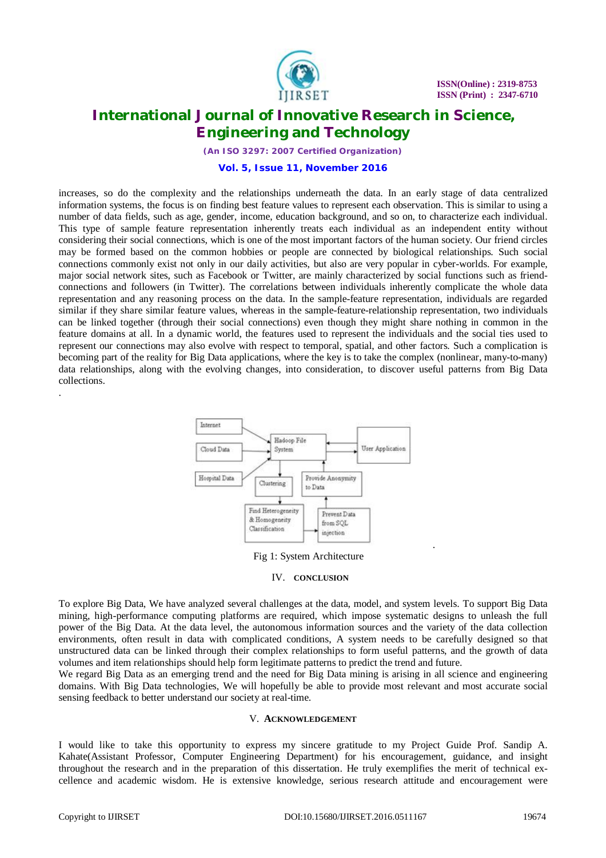

*(An ISO 3297: 2007 Certified Organization)*

#### **Vol. 5, Issue 11, November 2016**

increases, so do the complexity and the relationships underneath the data. In an early stage of data centralized information systems, the focus is on finding best feature values to represent each observation. This is similar to using a number of data fields, such as age, gender, income, education background, and so on, to characterize each individual. This type of sample feature representation inherently treats each individual as an independent entity without considering their social connections, which is one of the most important factors of the human society. Our friend circles may be formed based on the common hobbies or people are connected by biological relationships. Such social connections commonly exist not only in our daily activities, but also are very popular in cyber-worlds. For example, major social network sites, such as Facebook or Twitter, are mainly characterized by social functions such as friendconnections and followers (in Twitter). The correlations between individuals inherently complicate the whole data representation and any reasoning process on the data. In the sample-feature representation, individuals are regarded similar if they share similar feature values, whereas in the sample-feature-relationship representation, two individuals can be linked together (through their social connections) even though they might share nothing in common in the feature domains at all. In a dynamic world, the features used to represent the individuals and the social ties used to represent our connections may also evolve with respect to temporal, spatial, and other factors. Such a complication is becoming part of the reality for Big Data applications, where the key is to take the complex (nonlinear, many-to-many) data relationships, along with the evolving changes, into consideration, to discover useful patterns from Big Data collections.



Fig 1: System Architecture

.

#### IV. **CONCLUSION**

To explore Big Data, We have analyzed several challenges at the data, model, and system levels. To support Big Data mining, high-performance computing platforms are required, which impose systematic designs to unleash the full power of the Big Data. At the data level, the autonomous information sources and the variety of the data collection environments, often result in data with complicated conditions, A system needs to be carefully designed so that unstructured data can be linked through their complex relationships to form useful patterns, and the growth of data volumes and item relationships should help form legitimate patterns to predict the trend and future.

We regard Big Data as an emerging trend and the need for Big Data mining is arising in all science and engineering domains. With Big Data technologies, We will hopefully be able to provide most relevant and most accurate social sensing feedback to better understand our society at real-time.

## V. **ACKNOWLEDGEMENT**

I would like to take this opportunity to express my sincere gratitude to my Project Guide Prof. Sandip A. Kahate(Assistant Professor, Computer Engineering Department) for his encouragement, guidance, and insight throughout the research and in the preparation of this dissertation. He truly exemplifies the merit of technical excellence and academic wisdom. He is extensive knowledge, serious research attitude and encouragement were

.